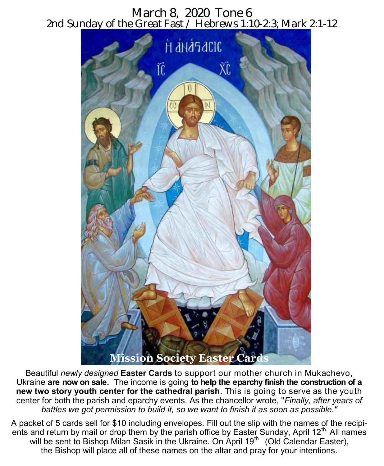# March 8, 2020 Tone 6 2nd Sunday of the Great Fast / Hebrews 1:10-2:3; Mark 2:1-12



Beautiful *newly designed* **Easter Cards** to support our mother church in Mukachevo, Ukraine **are now on sale.** The income is going **to help the eparchy finish the construction of a new two story youth center for the cathedral parish**. This is going to serve as the youth center for both the parish and eparchy events. As the chancellor wrote, "*Finally, after years of battles we got permission to build it, so we want to finish it as soon as possible."*

A packet of 5 cards sell for \$10 including envelopes. Fill out the slip with the names of the recipients and return by mail or drop them by the parish office by Easter Sunday, April 12<sup>th.</sup> All names will be sent to Bishop Milan Sasik in the Ukraine. On April 19 $^{\rm th}$  (Old Calendar Easter), the Bishop will place all of these names on the altar and pray for your intentions.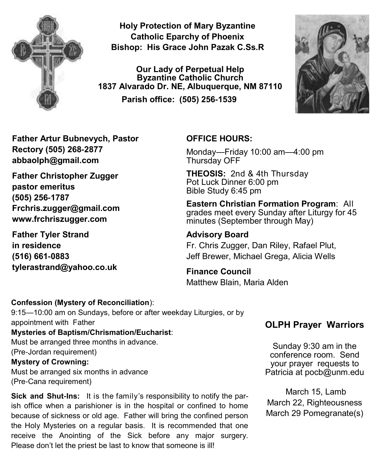

**Holy Protection of Mary Byzantine Catholic Eparchy of Phoenix Bishop: His Grace John Pazak C.Ss.R**

**Our Lady of Perpetual Help Byzantine Catholic Church 1837 Alvarado Dr. NE, Albuquerque, NM 87110 Parish office: (505) 256-1539**



**Father Artur Bubnevych, Pastor Rectory (505) 268-2877 abbaolph@gmail.com** 

**Father Christopher Zugger pastor emeritus (505) 256-1787 Frchris.zugger@gmail.com www.frchriszugger.com** 

**Father Tyler Strand in residence (516) 661-0883 tylerastrand@yahoo.co.uk**

### **OFFICE HOURS:**

Monday—Friday 10:00 am—4:00 pm Thursday OFF

**THEOSIS:** 2nd & 4th Thursday Pot Luck Dinner 6:00 pm Bible Study 6:45 pm

**Eastern Christian Formation Program**: All grades meet every Sunday after Liturgy for 45 minutes (September through May)

**Advisory Board**  Fr. Chris Zugger, Dan Riley, Rafael Plut, Jeff Brewer, Michael Grega, Alicia Wells

**Finance Council**  Matthew Blain, Maria Alden

#### **Confession (Mystery of Reconciliation**):

9:15—10:00 am on Sundays, before or after weekday Liturgies, or by appointment with Father **Mysteries of Baptism/Chrismation/Eucharist**: Must be arranged three months in advance. (Pre-Jordan requirement) **Mystery of Crowning:**  Must be arranged six months in advance (Pre-Cana requirement)

**Sick and Shut-Ins:** It is the family's responsibility to notify the parish office when a parishioner is in the hospital or confined to home because of sickness or old age. Father will bring the confined person the Holy Mysteries on a regular basis. It is recommended that one receive the Anointing of the Sick before any major surgery. Please don't let the priest be last to know that someone is ill!

### **OLPH Prayer Warriors**

Sunday 9:30 am in the conference room. Send your prayer requests to Patricia at pocb@unm.edu

March 15, Lamb March 22, Righteousness March 29 Pomegranate(s)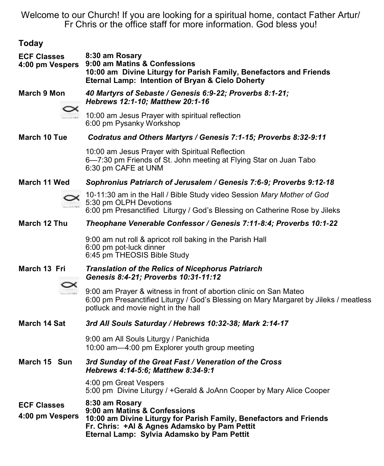Welcome to our Church! If you are looking for a spiritual home, contact Father Artur/ Fr Chris or the office staff for more information. God bless you!

| Today                                 |                                                                                                                                                                                                                    |
|---------------------------------------|--------------------------------------------------------------------------------------------------------------------------------------------------------------------------------------------------------------------|
| <b>ECF Classes</b><br>4:00 pm Vespers | 8:30 am Rosary<br>9:00 am Matins & Confessions<br>10:00 am Divine Liturgy for Parish Family, Benefactors and Friends<br>Eternal Lamp: Intention of Bryan & Cielo Doherty                                           |
| March 9 Mon                           | 40 Martyrs of Sebaste / Genesis 6:9-22; Proverbs 8:1-21;<br>Hebrews 12:1-10; Matthew 20:1-16                                                                                                                       |
|                                       | 10:00 am Jesus Prayer with spiritual reflection<br>6:00 pm Pysanky Workshop                                                                                                                                        |
| March 10 Tue                          | Codratus and Others Martyrs / Genesis 7:1-15; Proverbs 8:32-9:11                                                                                                                                                   |
|                                       | 10:00 am Jesus Prayer with Spiritual Reflection<br>6-7:30 pm Friends of St. John meeting at Flying Star on Juan Tabo<br>6:30 pm CAFE at UNM                                                                        |
| March 11 Wed                          | Sophronius Patriarch of Jerusalem / Genesis 7:6-9; Proverbs 9:12-18                                                                                                                                                |
|                                       | 10-11:30 am in the Hall / Bible Study video Session Mary Mother of God<br>5:30 pm OLPH Devotions<br>6:00 pm Presanctified Liturgy / God's Blessing on Catherine Rose by Jileks                                     |
| March 12 Thu                          | Theophane Venerable Confessor / Genesis 7:11-8:4; Proverbs 10:1-22                                                                                                                                                 |
|                                       | 9:00 am nut roll & apricot roll baking in the Parish Hall<br>6:00 pm pot-luck dinner<br>6:45 pm THEOSIS Bible Study                                                                                                |
| March 13 Fri                          | <b>Translation of the Relics of Nicephorus Patriarch</b><br>Genesis 8:4-21; Proverbs 10:31-11:12                                                                                                                   |
|                                       | 9:00 am Prayer & witness in front of abortion clinic on San Mateo<br>6:00 pm Presanctified Liturgy / God's Blessing on Mary Margaret by Jileks / meatless<br>potluck and movie night in the hall                   |
| March 14 Sat                          | 3rd All Souls Saturday / Hebrews 10:32-38; Mark 2:14-17                                                                                                                                                            |
|                                       | 9:00 am All Souls Liturgy / Panichida<br>10:00 am-4:00 pm Explorer youth group meeting                                                                                                                             |
| March 15 Sun                          | 3rd Sunday of the Great Fast / Veneration of the Cross<br>Hebrews 4:14-5:6; Matthew 8:34-9:1                                                                                                                       |
|                                       | 4:00 pm Great Vespers<br>5:00 pm Divine Liturgy / +Gerald & JoAnn Cooper by Mary Alice Cooper                                                                                                                      |
| <b>ECF Classes</b><br>4:00 pm Vespers | 8:30 am Rosary<br>9:00 am Matins & Confessions<br>10:00 am Divine Liturgy for Parish Family, Benefactors and Friends<br>Fr. Chris: +AI & Agnes Adamsko by Pam Pettit<br>Eternal Lamp: Sylvia Adamsko by Pam Pettit |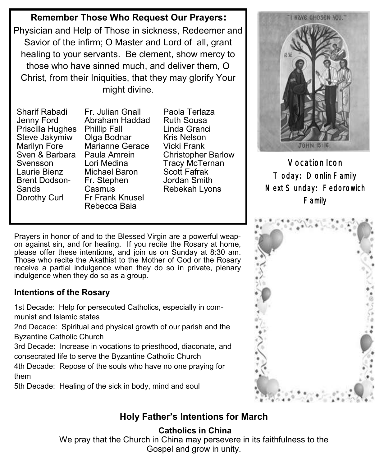### **Remember Those Who Request Our Prayers:**

Physician and Help of Those in sickness, Redeemer and Savior of the infirm; O Master and Lord of all, grant healing to your servants. Be clement, show mercy to those who have sinned much, and deliver them, O Christ, from their Iniquities, that they may glorify Your might divine.

Sharif Rabadi Jenny Ford Priscilla Hughes Phillip Fall Steve Jakymiw Marilyn Fore Sven & Barbara Paula Amrein Svensson Laurie Bienz Brent Dodson-Sands Dorothy Curl

Fr. Julian Gnall Abraham Haddad Olga Bodnar Marianne Gerace Lori Medina Michael Baron Fr. Stephen Casmus Fr Frank Knusel Rebecca Baia

Paola Terlaza Ruth Sousa Linda Granci Kris Nelson Vicki Frank Christopher Barlow Tracy McTernan Scott Fafrak Jordan Smith Rebekah Lyons

Prayers in honor of and to the Blessed Virgin are a powerful weapon against sin, and for healing. If you recite the Rosary at home, please offer these intentions, and join us on Sunday at 8:30 am. Those who recite the Akathist to the Mother of God or the Rosary receive a partial indulgence when they do so in private, plenary indulgence when they do so as a group.

### **Intentions of the Rosary**

1st Decade: Help for persecuted Catholics, especially in communist and Islamic states

2nd Decade: Spiritual and physical growth of our parish and the Byzantine Catholic Church

3rd Decade: Increase in vocations to priesthood, diaconate, and consecrated life to serve the Byzantine Catholic Church

4th Decade: Repose of the souls who have no one praying for them

5th Decade: Healing of the sick in body, mind and soul



Vocation Icon Today: Donlin Family Next Sunday: Fedorowich Family



# **Holy Father's Intentions for March**

### **Catholics in China**

We pray that the Church in China may persevere in its faithfulness to the Gospel and grow in unity.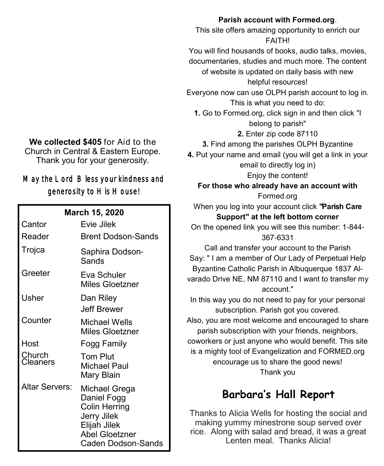### **We collected \$405** for Aid to the Church in Central & Eastern Europe. Thank you for your generosity.

# May the Lord Bless your kindness and generosity to His House!

**March 15, 2020**

| MAICII 19, ZUZU    |                                                                                                                                           |  |
|--------------------|-------------------------------------------------------------------------------------------------------------------------------------------|--|
| Cantor             | Evie Jilek                                                                                                                                |  |
| Reader             | Brent Dodson-Sands                                                                                                                        |  |
| Trojca             | Saphira Dodson-<br>Sands                                                                                                                  |  |
| Greeter            | Eva Schuler<br><b>Miles Gloetzner</b>                                                                                                     |  |
| Usher              | Dan Riley<br>Jeff Brewer                                                                                                                  |  |
| Counter            | Michael Wells<br><b>Miles Gloetzner</b>                                                                                                   |  |
| Host               | Fogg Family                                                                                                                               |  |
| Church<br>Cleaners | Tom Plut<br>Michael Paul<br>Mary Blain                                                                                                    |  |
| Altar Servers:     | Michael Grega<br>Daniel Fogg<br><b>Colin Herring</b><br>Jerry Jilek<br>Elijah Jilek<br><b>Abel Gloetzner</b><br><b>Caden Dodson-Sands</b> |  |

**Parish account with Formed.org**. This site offers amazing opportunity to enrich our FAITH! You will find housands of books, audio talks, movies, documentaries, studies and much more. The content of website is updated on daily basis with new helpful resources! Everyone now can use OLPH parish account to log in. This is what you need to do: **1.** Go to Formed.org, click sign in and then click "I belong to parish" **2.** Enter zip code 87110 **3.** Find among the parishes OLPH Byzantine **4.** Put your name and email (you will get a link in your email to directly log in) Enjoy the content! **For those who already have an account with** Formed.org When you log into your account click **"Parish Care Support" at the left bottom corner** On the opened link you will see this number: 1-844- 367-6331 Call and transfer your account to the Parish Say: " I am a member of Our Lady of Perpetual Help Byzantine Catholic Parish in Albuquerque 1837 Alvarado Drive NE, NM 87110 and I want to transfer my account." In this way you do not need to pay for your personal subscription. Parish got you covered. Also, you are most welcome and encouraged to share parish subscription with your friends, neighbors, coworkers or just anyone who would benefit. This site is a mighty tool of Evangelization and FORMED.org encourage us to share the good news! Thank you **Barbara's Hall Report**

Thanks to Alicia Wells for hosting the social and making yummy minestrone soup served over rice. Along with salad and bread, it was a great Lenten meal. Thanks Alicia!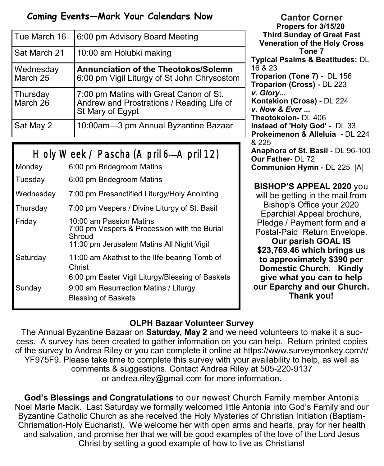# **Coming Events—Mark Your Calendars Now**

| Tue March 16          | 6:00 pm Advisory Board Meeting                                                                          |
|-----------------------|---------------------------------------------------------------------------------------------------------|
| Sat March 21          | 10:00 am Holubki making                                                                                 |
| Wednesday<br>March 25 | <b>Annunciation of the Theotokos/Solemn</b><br>6:00 pm Vigil Liturgy of St John Chrysostom              |
| Thursday<br>March 26  | 7:00 pm Matins with Great Canon of St.<br>Andrew and Prostrations / Reading Life of<br>St Mary of Egypt |
| Sat May 2             | 10:00am-3 pm Annual Byzantine Bazaar                                                                    |

# Holy Week / Pascha (A pril 6–A pril 12)

| Monday    | 6:00 pm Bridegroom Matins                                                                                                      |
|-----------|--------------------------------------------------------------------------------------------------------------------------------|
| Tuesday   | 6:00 pm Bridegroom Matins                                                                                                      |
| Wednesday | 7:00 pm Presanctified Liturgy/Holy Anointing                                                                                   |
| Thursday  | 7:00 pm Vespers / Divine Liturgy of St. Basil                                                                                  |
| Friday    | 10:00 am Passion Matins<br>7:00 pm Vespers & Procession with the Burial<br>Shroud<br>11:30 pm Jerusalem Matins All Night Vigil |
| Saturday  | 11:00 am Akathist to the Ilfe-bearing Tomb of<br>Christ<br>6:00 pm Easter Vigil Liturgy/Blessing of Baskets                    |
| Sunday    | 9:00 am Resurrection Matins / Liturgy<br><b>Blessing of Baskets</b>                                                            |
|           |                                                                                                                                |

**Cantor Corner Propers for 3/15/20 Third Sunday of Great Fast Veneration of the Holy Cross Tone 7 Typical Psalms & Beatitudes:** DL  $16 \times 23$ **Troparion (Tone 7) -** DL 156 **Troparion (Cross) -** DL 223 *v. Glory...*  **Kontakion (Cross) -** DL 224 *v. Now & Ever ...* **Theotokoion-** DL 406 **Instead of 'Holy God' -** DL 33 **Prokeimenon & Alleluia -** DL 224 & 225 **Anaphora of St. Basil -** DL 96-100 **Our Father**- DL 72 **Communion Hymn -** DL 225 [A]

**BISHOP'S APPEAL 2020** you will be getting in the mail from Bishop's Office your 2020 Eparchial Appeal brochure, Pledge / Payment form and a Postal-Paid Return Envelope. **Our parish GOAL IS \$23,769.46 which brings us to approximately \$390 per Domestic Church. Kindly give what you can to help our Eparchy and our Church. Thank you!**

# **OLPH Bazaar Volunteer Survey**

The Annual Byzantine Bazaar on **Saturday, May 2** and we need volunteers to make it a success. A survey has been created to gather information on you can help. Return printed copies of the survey to Andrea Riley or you can complete it online at [https://www.surveymonkey.com/r/](https://www.surveymonkey.com/r/YF975F9) [YF975F9.](https://www.surveymonkey.com/r/YF975F9) Please take time to complete this survey with your availability to help, as well as comments & suggestions. Contact Andrea Riley at 505-220-9137 or [andrea.riley@gmail.com](mailto:andrea.riley@gmail.com) for more information.

**God's Blessings and Congratulations** to our newest Church Family member Antonia Noel Marie Macik. Last Saturday we formally welcomed little Antonia into God's Family and our Byzantine Catholic Church as she received the Holy Mysteries of Christian Initiation (Baptism-Chrismation-Holy Eucharist). We welcome her with open arms and hearts, pray for her health and salvation, and promise her that we will be good examples of the love of the Lord Jesus Christ by setting a good example of how to live as Christians!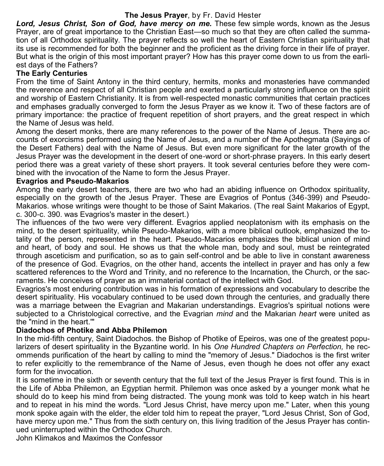#### **The Jesus Prayer**, by Fr. David Hester

*Lord, Jesus Christ, Son of God, have mercy on me.* These few simple words, known as the Jesus Prayer, are of great importance to the Christian East—so much so that they are often called the summation of all Orthodox spirituality. The prayer reflects so well the heart of Eastern Christian spirituality that its use is recommended for both the beginner and the proficient as the driving force in their life of prayer. But what is the origin of this most important prayer? How has this prayer come down to us from the earliest days of the Fathers?

#### **The Early Centuries**

From the time of Saint Antony in the third century, hermits, monks and monasteries have commanded the reverence and respect of all Christian people and exerted a particularly strong influence on the spirit and worship of Eastern Christianity. It is from well-respected monastic communities that certain practices and emphases gradually converged to form the Jesus Prayer as we know it. Two of these factors are of primary importance: the practice of frequent repetition of short prayers, and the great respect in which the Name of Jesus was held.

Among the desert monks, there are many references to the power of the Name of Jesus. There are accounts of exorcisms performed using the Name of Jesus, and a number of the Apothegmata (Sayings of the Desert Fathers) deal with the Name of Jesus. But even more significant for the later growth of the Jesus Prayer was the development in the desert of one-word or short-phrase prayers. In this early desert period there was a great variety of these short prayers. It took several centuries before they were combined with the invocation of the Name to form the Jesus Prayer.

#### **Evagrios and Pseudo-Makarios**

Among the early desert teachers, there are two who had an abiding influence on Orthodox spirituality, especially on the growth of the Jesus Prayer. These are Evagrios of Pontus (346-399) and Pseudo-Makarios. whose writings were thought to be those of Saint Makarios. (The real Saint Makarios of Egypt, c. 300-c. 390. was Evagrios's master in the desert.)

The influences of the two were very different. Evagrios applied neoplatonism with its emphasis on the mind, to the desert spirituality, while Pseudo-Makarios, with a more biblical outlook, emphasized the totality of the person, represented in the heart. Pseudo-Macarios emphasizes the biblical union of mind and heart, of body and soul. He shows us that the whole man, body and soul, must be reintegrated through asceticism and purification, so as to gain self-control and be able to live in constant awareness of the presence of God. Evagrios, on the other hand, accents the intellect in prayer and has only a few scattered references to the Word and Trinity, and no reference to the Incarnation, the Church, or the sacraments. He conceives of prayer as an immaterial contact of the intellect with God.

Evagrios's most enduring contribution was in his formation of expressions and vocabulary to describe the desert spirituality. His vocabulary continued to be used down through the centuries, and gradually there was a marriage between the Evagrian and Makarian understandings. Evagrios's spiritual notions were subjected to a Christological corrective, and the Evagrian *mind* and the Makarian *heart* were united as the "mind in the heart.'"

#### **Diadochos of Photike and Abba Philemon**

In the mid-fifth century, Saint Diadochos. the Bishop of Photike of Epeiros, was one of the greatest popularizers of desert spirituality in the Byzantine world. In his *One Hundred Chapters on Perfection,* he recommends purification of the heart by calling to mind the "memory of Jesus." Diadochos is the first writer to refer explicitly to the remembrance of the Name of Jesus, even though he does not offer any exact form for the invocation.

It is sometime in the sixth or seventh century that the full text of the Jesus Prayer is first found. This is in the Life of Abba Philemon, an Egyptian hermit. Philemon was once asked by a younger monk what he should do to keep his mind from being distracted. The young monk was told to keep watch in his heart and to repeat in his mind the words. "Lord Jesus Christ, have mercy upon me." Later, when this young monk spoke again with the elder, the elder told him to repeat the prayer, "Lord Jesus Christ, Son of God, have mercy upon me." Thus from the sixth century on, this living tradition of the Jesus Prayer has continued uninterrupted within the Orthodox Church.

John Klimakos and Maximos the Confessor